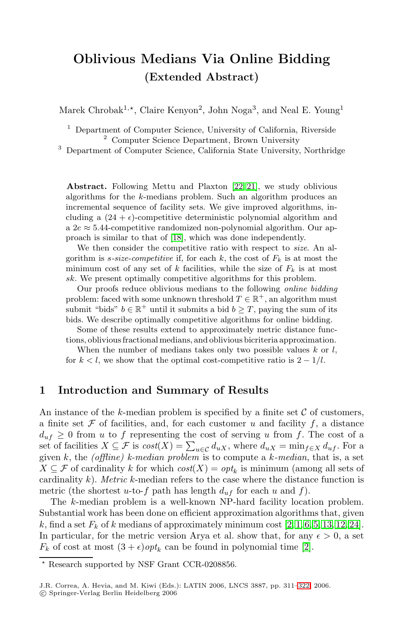# **Oblivious Medians Via Online Bidding (Extended Abstract)**

Marek Chrobak<sup>1,\*</sup>, Cla[ire](#page-11-0) [Ke](#page-11-1)nyon<sup>2</sup>, John Noga<sup>3</sup>, and Neal E. Young<sup>1</sup>

<sup>1</sup> Department of Computer Science, University of California, Riverside <sup>2</sup> Computer Science Department, Brown University

<sup>3</sup> Depart[men](#page-11-2)t of Computer Science, California State University, Northridge

**Abstract.** Following Mettu and Plaxton [22, 21], we study oblivious algorithms for the k-medians problem. Such an algorithm produces an incremental sequence of facility sets. We give improved algorithms, including a  $(24 + \epsilon)$ -competitive deterministic polynomial algorithm and a  $2e \approx 5.44$ -competitive randomized non-polynomial algorithm. Our approach is similar to that of [18], which was done independently.

We then consider the competitive ratio with respect to *size*. An algorithm is s-size-competitive if, for each  $k$ , the cost of  $F_k$  is at most the minimum cost of any set of k facilities, while the size of  $F_k$  is at most sk. We present optimally competitive algorithms for this problem.

Our proofs reduce oblivious medians to the following online bidding problem: faced with some unknown threshold  $T \in \mathbb{R}^+$ , an algorithm must submit "bids"  $b \in \mathbb{R}^+$  until it submits a bid  $b > T$ , paying the sum of its bids. We describe optimally competitive algorithms for online bidding.

Some of these results extend to approximately metric distance functions, oblivious fractional medians, and oblivious bicriteria approximation.

When the number of medians takes only two possible values  $k$  or  $l$ , for  $k < l$ , we show that the optimal cost-competitive ratio is  $2 - 1/l$ .

### **1 Introduction and Summary of Results**

An instance of the k-median problem is specified by a finite set  $\mathcal C$  of customers, a finite set  $\mathcal F$  of facilities, and, for each customer u and facility  $f$ , a distance  $d_{uf} \geq 0$  from u to f representing the cost of serving u from f. The cost of a set of facilities  $X \subseteq \mathcal{F}$  is  $cost(X) = \sum_{u \in \mathcal{C}} d_{uX}$  $cost(X) = \sum_{u \in \mathcal{C}} d_{uX}$  $cost(X) = \sum_{u \in \mathcal{C}} d_{uX}$  $cost(X) = \sum_{u \in \mathcal{C}} d_{uX}$  $cost(X) = \sum_{u \in \mathcal{C}} d_{uX}$ [,](#page-10-2) [w](#page-10-3)[here](#page-11-3)  $d_{uX} = \min_{f \in X} d_{uf}$  $d_{uX} = \min_{f \in X} d_{uf}$  $d_{uX} = \min_{f \in X} d_{uf}$ . For a given k, the (offline) k-median problem is to compute a k-median, that is, a set  $X \subseteq \mathcal{F}$  of cardinality k for which  $cost(X) = opt_k$  $cost(X) = opt_k$  $cost(X) = opt_k$  is minimum (among all sets of cardinality  $k$ ). Metric k-median refers to the case where the distance function is metric (the shortest u-to-f path has length  $d_{uf}$  for each u and f).

The k-median problem is a well-known [NP-](#page-10-4)hard facility location problem. Substantial work has been done on efficient approximation algorithms that, given k, find a set  $F_k$  of k medians of approximately minimum cost [2, 1, 6, 5, 13, 12, 24]. In particular, for the metric version Arya et al. show that, for any  $\epsilon > 0$ , a set  $F_k$  of cost at most  $(3 + \epsilon)$  opt<sub>k</sub> can be found in polynomial time [2].

Research supported by NSF Grant CCR-0208856.

J.R. Correa, A. Hevia, and M. Kiwi (Eds.): LATIN 2006, LNCS 3887, pp. 311–322, 2006. -c Springer-Verlag Berlin Heidelberg 2006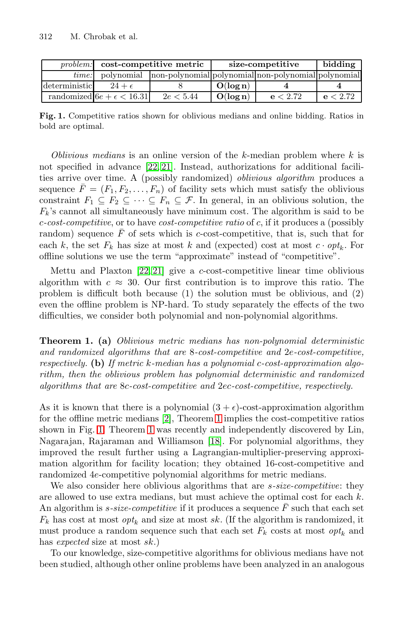<span id="page-1-1"></span>

|               | <i>problem:</i> cost-competitive metric |                                                                | size-competitive |          | bidding  |
|---------------|-----------------------------------------|----------------------------------------------------------------|------------------|----------|----------|
| time:         |                                         | polynomial non-polynomial polynomial non-polynomial polynomial |                  |          |          |
| deterministic | $24+\epsilon$                           |                                                                | $O(\log n)$      |          |          |
|               | randomized $6e + \epsilon < 16.31$      | 2e < 5.44                                                      | O(log n)         | e < 2.72 | e < 2.72 |

**Fig. 1.** Competitive ratios shown for oblivious medians and online bidding. Ratios in bold are optimal.

Oblivious medians is an online version of the  $k$ -median problem where  $k$  is not specified in advance [22, 21]. Instead, authorizations for additional facilities arrive over time. A (possibly randomized) oblivious algorithm produces a sequ[ence](#page-11-0)  $\overline{F} = (F_1, F_2, \ldots, F_n)$  $\overline{F} = (F_1, F_2, \ldots, F_n)$  $\overline{F} = (F_1, F_2, \ldots, F_n)$  of facility sets which must satisfy the oblivious constraint  $F_1 \subseteq F_2 \subseteq \cdots \subseteq F_n \subseteq \mathcal{F}$ . In general, in an oblivious solution, the  $F_k$ 's cannot all simultaneously have minimum cost. The algorithm is said to be  $c\text{-}cost\text{-}competitive$ , or to have  $cost\text{-}competitive\ ratio$  of c, if it produces a (possibly random) sequence  $\bar{F}$  of sets which is c-cost-competitive, that is, such that for each k, the set  $F_k$  has size at most k and (expected) cost at most  $c \cdot opt_k$ . For offline solutions we use the term "approximate" instead of "competitive".

<span id="page-1-0"></span>Mettu and Plaxton [22, 21] give a c-cost-competitive linear time oblivious algorithm with  $c \approx 30$ . Our first contribution is to improve this ratio. The problem is difficult both because (1) the solution must be oblivious, and (2) even the offline problem is NP-hard. To study separately the effects of the two difficulties, we consider both polynomial and non-polynomial algorithms.

**Theorem [1.](#page-10-0) (a)** Obliv[io](#page-1-0)us metric medians has non-polynomial deterministic and ra[ndo](#page-1-0)mized algorithms that are 8-cost-competitive and 2e-cost-competitive, respectively. **(b)** If me[tric](#page-11-2) k-median has a polynomial c-cost-approximation algorithm, then the oblivious problem has polynomial deterministic and randomized algorithms that are 8c-cost-competitive and 2ec-cost-competitive, respectively.

As it is known that there is a polynomial  $(3 + \epsilon)$ -cost-approximation algorithm for the offline metric medians [2], Theorem 1 implies the cost-competitive ratios shown in Fig. 1. Theorem 1 was recently and independently discovered by Lin, Nagarajan, Rajaraman and Williamson [18]. For polynomial algorithms, they improved the result further using a Lagrangian-multiplier-preserving approximation algorithm for facility location; they obtained 16-cost-competitive and randomized 4e-competitive polynomial algorithms for metric medians.

We also consider here oblivious algorithms that are *s-size-competitive*: they are allowed to use extra medians, but must achieve the optimal cost for each k. An algorithm is  $s\text{-}size\text{-}competitive$  if it produces a sequence  $F$  such that each set  $F_k$  has cost at most  $opt_k$  and size at most sk. (If the algorithm is randomized, it must produce a random sequence such that each set  $F_k$  costs at most  $opt_k$  and has expected size at most sk.)

To our knowledge, size-competitive algorithms for oblivious medians have not been studied, although other online problems have been analyzed in an analogous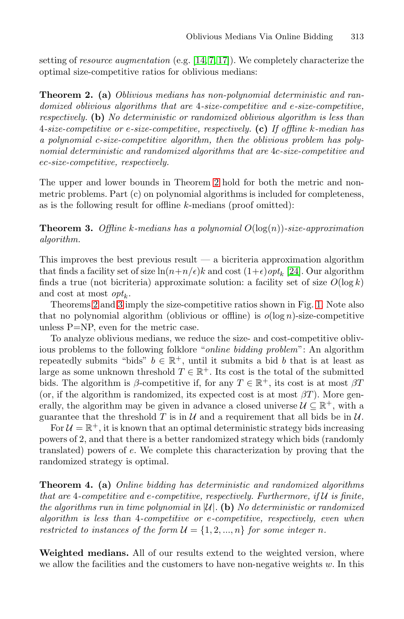<span id="page-2-0"></span>setting of resource augmentation (e.g. [14, 7, 17]). We completely characterize the optimal size-competitive ratios for oblivious medians:

<span id="page-2-1"></span>**Theorem 2. (a)** Oblivious medians has non-polynomial deterministic and randomized oblivious algor[ith](#page-2-0)ms that are 4-size-competitive and e-size-competitive, respectively. **(b)** No deterministic or randomized oblivious algorithm is less than 4-size-competitive or e-size-competitive, respectively. **(c)** If offline k-median has a polynomial c-size-competitive algorithm, then the oblivious problem has polynomial deterministic and randomized algorithms that are 4c-size-competitive and ec-size-competitive, respectively.

The upper and lower bounds in Theorem 2 hold for both the metric and nonmetric problems. Part (c) on polynomial a[lgor](#page-11-5)ithms is included for completeness, as is the following result for offline  $k$ -medians (proof omitted):

**[T](#page-2-1)heorem 3.** Offline k-medians has a polynomi[al](#page-1-1)  $O(\log(n))$ -size-approximation algorithm.

This improves the best previous result  $\frac{d}{dx}$  a bicriteria approximation algorithm that finds a facility set of size  $\ln(n+n/\epsilon)k$  and cost  $(1+\epsilon)opt_k$  [24]. Our algorithm finds a true (not bicriteria) approximate solution: a facility set of size  $O(\log k)$ and cost at most  $opt_k$ .

Theorems 2 and 3 imply the size-competitive ratios shown in Fig. 1. Note also that no polynomial algorithm (oblivious or offline) is  $o(\log n)$ -size-competitive unless P=NP, even for the metric case.

To analyze oblivious medians, we reduce the size- and cost-competitive oblivious problems to the following folklore "online bidding problem": An algorithm repeatedly submits "bids"  $b \in \mathbb{R}^+$ , until it submits a bid b that is at least as large as some unknown threshold  $T \in \mathbb{R}^+$ . Its cost is the total of the submitted bids. The algorithm is  $\beta$ -competitive if, for any  $T \in \mathbb{R}^+$ , its cost is at most  $\beta T$ (or, if the algorithm is randomized, its expected cost is at most  $\beta T$ ). More generally, the algorithm may be given in advance a closed universe  $\mathcal{U} \subseteq \mathbb{R}^+$ , with a guarantee that the threshold T is in  $\mathcal U$  and a requirement that all bids be in  $\mathcal U$ .

<span id="page-2-2"></span>For  $\mathcal{U} = \mathbb{R}^+$ , it is known that an optimal deterministic strategy bids increasing powers of 2, and that there is a better randomized strategy which bids (randomly translated) powers of e. We complete this characterization by proving that the randomized strategy is optimal.

**Theorem 4. (a)** Online bidding has deterministic and randomized algorithms that are 4-competitive and e-competitive, respectively. Furthermore, if  $\mathcal U$  is finite, the algorithms run in time polynomial in  $|U|$ . **(b)** No deterministic or randomized algorithm is less than 4-competitive or e-competitive, respectively, even when restricted to instances of the form  $\mathcal{U} = \{1, 2, ..., n\}$  for some integer n.

**Weighted medians.** All of our results extend to the weighted version, where we allow the facilities and the customers to have non-negative weights  $w$ . In this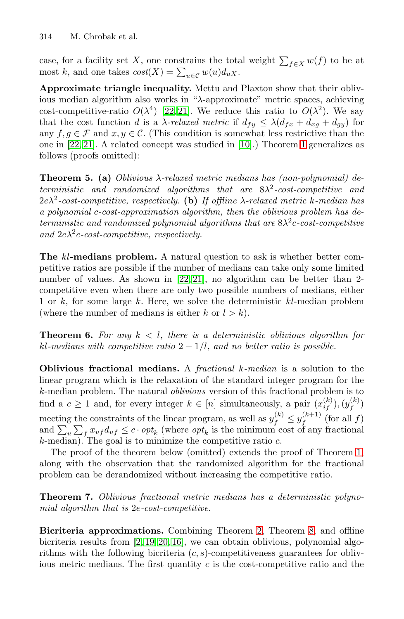case, for a facility set X, one [co](#page-11-6)nstrains [t](#page-1-0)he total weight  $\sum_{f\in X} w(f)$  to be at most k, and one takes  $cost(X) = \sum_{u \in \mathcal{C}} w(u) d_{uX}$ .

**Approximate triangle inequality.** Mettu and Plaxton show that their oblivious median algorithm also works in "λ-approximate" metric spaces, achieving cost-competitive-ratio  $O(\lambda^4)$  [22, 21]. We reduce this ratio to  $O(\lambda^2)$ . We say that the cost function d is a  $\lambda$ -relaxed metric if  $d_{fy} \leq \lambda (d_{fx} + d_{xg} + d_{gy})$  for any  $f, g \in \mathcal{F}$  and  $x, y \in \mathcal{C}$ . (This condition is somewhat less restrictive than the one in [22, 21]. A related concept was studied in [10].) Theorem 1 generalizes as follows (proofs omitted):

**Theorem 5. (a)** Oblivious λ-relaxed metric medians has (non-polynomial) deterministic and randomized algorithms that are  $8\lambda^2$ -cost-competitive and  $2e\lambda^2$ -cost-com[petit](#page-11-0)[ive](#page-11-1), respectively. **(b)** If offline  $\lambda$ -relaxed metric k-median has a polynomial c-cost-approximation algorithm, then the oblivious problem has deterministic and randomized polynomial algorithms that are  $8\lambda^2c$ -cost-competitive and  $2e\lambda^2c$ -cost-competitive, respectively.

<span id="page-3-0"></span>**The** kl**-medians problem.** A natural question to ask is whether better competitive ratios are possible if the number of medians can take only some limited number of values. As shown in [22, 21], no algorithm can be better than 2competitive even when there are only two possible numbers of medians, either 1 or k, for some large k. Here, we solve the deterministic  $kl$ -median problem (where the number of medians is either k or  $l > k$ ).

**Theorem 6.** For any  $k < l$ , there is a deterministic oblivious algorithm for kl-medians with competitive ratio  $2 - 1/l$ , and no better ratio is possible.

**Oblivious fractional medians.** A fractional k-median [is](#page-1-0) a solution to the linear program which is the relaxation of the standard integer program for the k-median problem. The natural oblivious version of this fractional problem is to find a  $c \geq 1$  and, for every integer  $k \in [n]$  simultaneously, a pair  $(x_{if}^{(k)}), (y_{f}^{(k)})$ meeting the constraints of the linear program, as well as  $y_f^{(k)} \leq y_f^{(k+1)}$  (for all f) and  $\sum_{u} \sum_{f} x_{uf} d_{uf} \leq c \cdot opt_k$  (where  $opt_k$  is the minimum cost of any fractional  $k$ -median). The goal is to minimize the competitive ratio  $c$ .

The proof of the theorem belo[w](#page-2-0) (omitted) [ex](#page-4-0)tends the proof of Theorem 1, alon[g](#page-10-0) [wit](#page-11-7)[h t](#page-11-8)[he](#page-11-9) observation that the randomized algorithm for the fractional problem can be derandomized without increasing the competitive ratio.

**Theorem 7.** Oblivious fractional metric medians has a deterministic polynomial algorithm that is 2e-cost-competitive.

**Bicriteria approximations.** Combining Theorem 2, Theorem 8, and offline bicriteria results from [2, 19, 20, 16], we can obtain oblivious, polynomial algorithms with the following bicriteria  $(c, s)$ -competitiveness guarantees for oblivious metric medians. The first quantity  $c$  is the cost-competitive ratio and the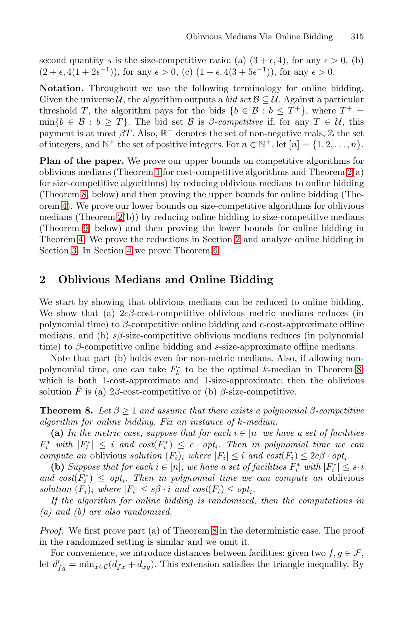second quantity s is the size-competitive ratio: (a)  $(3 + \epsilon, 4)$ , for any  $\epsilon > 0$ , (b)  $(2 + \epsilon, 4(1 + 2\epsilon^{-1}))$ , for any  $\epsilon > 0$ , (c)  $(1 + \epsilon, 4(3 + 5\epsilon^{-1}))$ , for any  $\epsilon > 0$ .

**Notatio[n.](#page-1-0)** Throughout we use the following terminol[og](#page-2-0)y for online bidding. Given the universe U, the algorithm outputs a bid set  $\mathcal{B} \subseteq \mathcal{U}$ . Against a particular threshold T, the algorithm pays for the bids  $\{b \in \mathcal{B} : b \leq T^+\}$ , where  $T^+$  $\min\{b \in \mathcal{B} : b \geq T\}$ . The bid set  $\mathcal{B}$  is  $\beta$ -competitive if, for any  $T \in \mathcal{U}$ , this [pa](#page-2-0)yment is at most  $\beta T$ . Also,  $\mathbb{R}^+$  denotes the set of non-negative reals,  $\mathbb Z$  the set of integers, and  $\mathbb{N}^+$  the set of positive integers. For  $n \in \mathbb{N}^+$ , let  $[n] = \{1, 2, \ldots, n\}$ .

<span id="page-4-1"></span>Plan of the paper. We pro[ve](#page-4-1) our upper bounds on competitive algorithms for o[bliv](#page-10-5)ious medians (The[or](#page-3-0)em 1 for cost-competitive algorithms and Theorem 2(a) for size-competitive algorithms) by reducing oblivious medians to online bidding (Theorem 8, below) and then proving the upper bounds for online bidding (Theorem 4). We prove our lower bounds on size-competitive algorithms for oblivious medians (Theorem 2(b)) by reducing online bidding to size-competitive medians (Theorem 9, below) and then proving the lower bounds for online bidding in Theorem 4. We prove the reductions in Section 2 and analyze online bidding in Section 3. In Section 4 we prove Theorem 6.

## **2 Oblivious Medians and Online Bidding**

<span id="page-4-0"></span>We start by showing that oblivious medians can be reduced to online bidding. We show that (a)  $2c\beta$ -cost-competitive oblivious metric medians reduces (in polynomial time) to  $\beta$ -competitive online bidding and c-cost-approximate offline medians, and (b)  $s\beta$ -size-competitive oblivious medians reduces (in polynomial time) to  $\beta$ -competitive online bidding and s-size-approximate offline medians.

Note that part (b) holds even for non-metric medians. Also, if allowing nonpolynomial time, one can take  $F_k^*$  to be the optimal k-median in Theorem 8, which is both 1-cost-approximate and 1-size-approximate; then the oblivious solution  $\bar{F}$  is (a) 2 $\beta$ -cost-competitive or (b)  $\beta$ -size-competitive.

**Theorem 8.** Let  $\beta \geq 1$  and assume that there exists a polynomial  $\beta$ -competitive algorithm for online bidding. Fix an instance of k-median.

(a) In the metric case, suppose that for each  $i \in [n]$  we have a set of facilities  $F_i^*$  with  $|F_i^*| \leq i$  and  $cost(F_i^*) \leq c \cdot opt_i$ . Then in polynomial time we can compute an oblivious s[ol](#page-4-0)ution  $(F_i)_i$  where  $|F_i| \leq i$  and  $cost(F_i) \leq 2c\beta \cdot opt_i$ .

(b) Suppose that for each  $i \in [n]$ , we have a set of facilities  $F_i^*$  with  $|F_i^*| \leq s \cdot i$ and  $cost(F_i^*) \leq opt_i$ . Then in polynomial time we can compute an oblivious solution  $(F_i)_i$  where  $|F_i| \leq s\beta \cdot i$  and  $cost(F_i) \leq opt_i$ .

If the algorithm for online bidding is randomized, then the computations in (a) and (b) are also randomized.

Proof. We first prove part (a) of Theorem 8 in the deterministic case. The proof in the randomized setting is similar and we omit it.

For convenience, we introduce distances between facilities: given two  $f, g \in \mathcal{F}$ , let  $d'_{fg} = \min_{x \in \mathcal{C}} (d_{fx} + d_{xg})$ . This extension satisfies the triangle inequality. By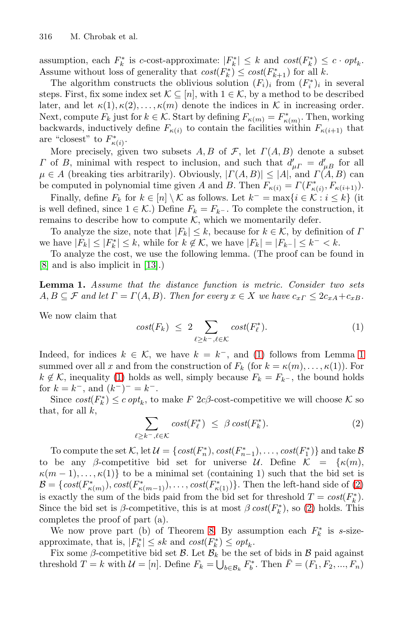assumption, each  $F_k^*$  is c-cost-approximate:  $|F_k^*| \leq k$  and  $cost(F_k^*) \leq c \cdot opt_k$ . Assume without loss of generality that  $cost(F_k^*) \leq cost(F_{k+1}^*)$  for all k.

The algorithm constructs the oblivious solution  $(F_i)_i$  from  $(F_i^*)_i$  in several steps. First, fix some index set  $\mathcal{K} \subseteq [n]$ , with  $1 \in \mathcal{K}$ , by a method to be described later, and let  $\kappa(1), \kappa(2), \ldots, \kappa(m)$  denote the indices in K in increasing order. Next, compute  $F_k$  just for  $k \in \mathcal{K}$ . Start by defining  $F_{\kappa(m)} = F^*_{\kappa(m)}$ . Then, working backwards, inductively define  $F_{\kappa(i)}$  to contain the facilities within  $F_{\kappa(i+1)}$  that are "closest" to  $F^*_{\kappa(i)}$ .

More precisely, given two subsets  $A, B$  of  $\mathcal{F}$ , let  $\Gamma(A, B)$  denote a subset Γ of B, minimal with respect to inclusion, and such that  $d'_{\mu} = d'_{\mu}$  for all  $\mu \in A$  (breaking ties arbitrarily). Obviously,  $|\Gamma(A, B)| \leq |A|$ , and  $\Gamma(\overline{A}, B)$  can be co[mput](#page-11-3)ed in polynomial time given A and B. Then  $F_{\kappa(i)} = \Gamma(F_{\kappa(i)}^*, F_{\kappa(i+1)}).$ 

Finally, define  $F_k$  for  $k \in [n] \setminus \mathcal{K}$  as follows. Let  $k^- = \max\{i \in \mathcal{K} : i \leq k\}$  (it is well defined, since  $1 \in \mathcal{K}$ .) Define  $F_k = F_{k^-}$ . To complete the construction, it remains to describe how to compute  $K$ , which we momentarily defer.

<span id="page-5-0"></span>To analyze the size, note that  $|F_k| \leq k$ , because for  $k \in \mathcal{K}$ , by definition of  $\Gamma$ we have  $|F_k| \leq |F_k^*| \leq k$ , while for  $k \notin \mathcal{K}$ , we have  $|F_k| = |F_{k-}| \leq k^- < k$ .

To analyze the cost, we use the following lemma. (The proof can be found in [8] and is also implicit in [13].)

**Lemma 1.** Assume that the distance function is metric. Consider two sets  $A, B \subseteq \mathcal{F}$  $A, B \subseteq \mathcal{F}$  and let  $\Gamma = \Gamma(A, B)$ . Then for every  $x \in X$  we have  $c_{x\Gamma} \leq 2c_{xA} + c_{xB}$ .

<span id="page-5-1"></span>We now claim that

$$
cost(F_k) \leq 2 \sum_{\ell \geq k^-, \ell \in \mathcal{K}} cost(F_{\ell}^*). \tag{1}
$$

Indeed, for indices  $k \in \mathcal{K}$ , we have  $k = k^-$ , and (1) follows from Lemma 1 summed over all x and from the construction of  $F_k$  (for  $k = \kappa(m), \ldots, \kappa(1)$ ). For  $k \notin \mathcal{K}$ , inequality (1) holds as well, simply because  $F_k = F_{k-1}$ , the bound holds for  $k=k^-,$  and  $(k^-)^-=k^-.$ 

Sinc[e](#page-5-1)  $cost(F_k^*) \leq c \cdot opt_k$ , to make  $F 2c\beta$ -cost-competitive we will choose  $\mathcal K$  so that, for all  $k$ ,

$$
\sum_{\ell \geq k^{-}, \ell \in \mathcal{K}} cost(F_{\ell}^{*}) \leq \beta cost(F_{k}^{*}). \tag{2}
$$

To compute the set [K](#page-4-0), let  $\mathcal{U} = \{ cost(F_n^*), cost(F_{n-1}^*), \ldots, cost(F_1^*) \}$  and take  $\mathcal{B}$ to be any β-competitive bid set for universe U. Define  $\mathcal{K} = {\kappa(m)}$ ,  $\kappa(m-1),\ldots,\kappa(1)$  to be a minimal set (containing 1) such that the bid set is  $\mathcal{B} = \{ cost(F^*_{\kappa(m)}), cost(F^*_{\kappa(m-1)}), \ldots, cost(F^*_{\kappa(1)}) \}$ . Then the left-hand side of (2) is exactly the sum of the bids paid from the bid set for threshold  $T = cost(F_k^*)$ . Since the bid set is  $\beta$ -competitive, this is at most  $\beta \text{ cost}(F_k^*)$ , so (2) holds. This completes the proof of part (a).

We now prove part (b) of Theorem 8. By assumption each  $F_k^*$  is s-sizeapproximate, that is,  $|F_k^*| \leq sk$  and  $cost(F_k^*) \leq opt_k$ .

Fix some  $\beta$ -competitive bid set  $\beta$ . Let  $\beta_k$  be the set of bids in  $\beta$  paid against threshold  $T = k$  with  $\mathcal{U} = [n]$ . Define  $F_k = \bigcup_{b \in \mathcal{B}_k} F_b^*$ . Then  $\bar{F} = (F_1, F_2, ..., F_n)$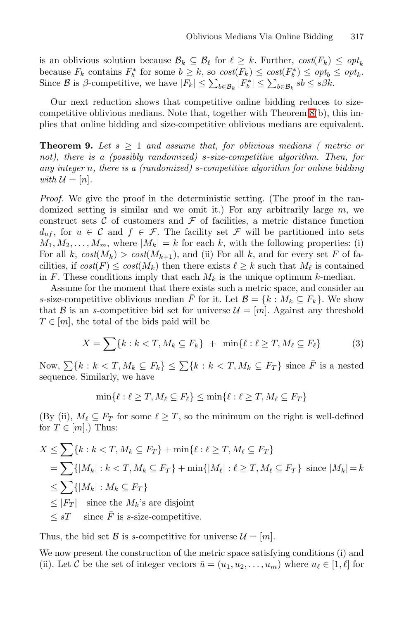is an oblivious solution because  $\mathcal{B}_k \subseteq \mathcal{B}_\ell$  for  $\ell \geq k$ . Further,  $cost(F_k) \leq opt_k$ because  $F_k$  contains  $F_b^*$  for some  $b \geq k$ , so  $cost(F_k) \leq cost(F_b^*) \leq opt_b \leq opt_k$ . Since  $\mathcal{B}$  is  $\beta$ -competitive, we have  $|F_k| \leq \sum_{b \in \mathcal{B}_k} |F_b^*| \leq \sum_{b \in \mathcal{B}_k} s b \leq s \beta k$ .

Our next reduction shows that competitive online bidding reduces to sizecompetitive oblivious medians. Note that, together with Theorem 8(b), this implies that online bidding and size-competitive oblivious medians are equivalent.

**Theorem 9.** Let  $s \geq 1$  and assume that, for oblivious medians (metric or not), there is a (possibly randomized) s-size-competitive algorithm. Then, for any integer n, there is a (randomized) s-competitive algorithm for online bidding with  $\mathcal{U} = [n]$ .

Proof. We give the proof in the deterministic setting. (The proof in the randomized setting is similar and we omit it.) For any arbitrarily large  $m$ , we construct sets  $C$  of customers and  $\mathcal F$  of facilities, a metric distance function  $d_{uf}$ , for  $u \in \mathcal{C}$  and  $f \in \mathcal{F}$ . The facility set  $\mathcal{F}$  will be partitioned into sets  $M_1, M_2, \ldots, M_m$ , where  $|M_k| = k$  for each k, with the following properties: (i) For all k,  $cost(M_k) > cost(M_{k+1})$ , and (ii) For all k, and for every set F of facilities, if  $cost(F) \leq cost(M_k)$  then there exists  $\ell \geq k$  such that  $M_{\ell}$  is contained in F. These conditions imply that each  $M_k$  is the unique optimum k-median.

Assume for the moment that there exists such a metric space, and consider an s-size-competitive oblivious median  $\overline{F}$  for it. Let  $\mathcal{B} = \{k : M_k \subseteq F_k\}$ . We show that B is an s-competitive bid set for universe  $\mathcal{U} = [m]$ . Against any threshold  $T \in [m]$ , the total of the bids paid will be

$$
X = \sum \{k : k < T, M_k \subseteq F_k\} + \min \{\ell : \ell \ge T, M_\ell \subseteq F_\ell\} \tag{3}
$$

Now,  $\sum \{k : k < T, M_k \subseteq F_k\} \leq \sum \{k : k < T, M_k \subseteq F_T\}$  since  $\overline{F}$  is a nested sequence. Similarly, we have

$$
\min\{\ell : \ell \geq T, M_{\ell} \subseteq F_{\ell}\} \leq \min\{\ell : \ell \geq T, M_{\ell} \subseteq F_T\}
$$

(By (ii),  $M_{\ell} \subseteq F_T$  for some  $\ell \geq T$ , so the minimum on the right is well-defined for  $T \in [m]$ .) Thus:

$$
X \leq \sum \{k : k < T, M_k \subseteq F_T\} + \min \{\ell : \ell \geq T, M_\ell \subseteq F_T\}
$$
\n
$$
= \sum \{ |M_k| : k < T, M_k \subseteq F_T \} + \min \{ |M_\ell| : \ell \geq T, M_\ell \subseteq F_T \} \text{ since } |M_k| = k
$$
\n
$$
\leq \sum \{ |M_k| : M_k \subseteq F_T \}
$$
\n
$$
\leq |F_T| \text{ since the } M_k \text{'s are disjoint}
$$
\n
$$
\leq sT \text{ since } \overline{F} \text{ is } s\text{-size-competitive.}
$$

Thus, the bid set B is s-competitive for universe  $\mathcal{U} = [m]$ .

We now present the construction of the metric space satisfying conditions (i) and (ii). Let C be the set of integer vectors  $\bar{u} = (u_1, u_2, \dots, u_m)$  where  $u_\ell \in [1, \ell]$  for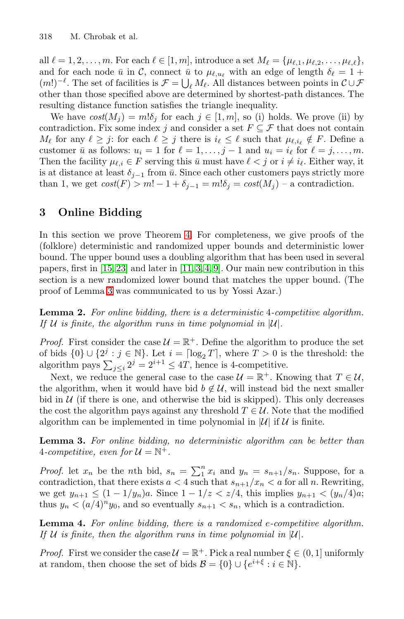all  $\ell = 1, 2, \ldots, m$ . For each  $\ell \in [1, m]$ , introduce a set  $M_{\ell} = {\mu_{\ell,1}, \mu_{\ell,2}, \ldots, \mu_{\ell,\ell}}$ , and for each node  $\bar{u}$  in  $\mathcal{C}$ , connect  $\bar{u}$  to  $\mu_{\ell, u_{\ell}}$  with an edge of length  $\delta_{\ell} = 1 +$  $(m!)^{-\ell}$ . The set of facilities is  $\mathcal{F} = \bigcup_{\ell} M_{\ell}$ . All distances between points in  $\mathcal{C} \cup \mathcal{F}$ other than those specified above are determined by shortest-path distances. The resulting distance function satisfies the triangle inequality.

We have  $cost(M_i) = m! \delta_i$  for each  $j \in [1, m]$ , so (i) holds. We prove (ii) by contradiction. Fix some index j and consider a set  $F \subseteq \mathcal{F}$  that does not contain  $M_{\ell}$  for any  $\ell \geq j$ : for each  $\ell \geq j$  there is  $i_{\ell} \leq \ell$  such that  $\mu_{\ell, i_{\ell}} \notin F$ . Define a customer  $\bar{u}$  as f[ollo](#page-2-2)ws:  $u_i = 1$  for  $\ell = 1, \ldots, j - 1$  and  $u_i = i_\ell$  for  $\ell = j, \ldots, m$ . Then the facility  $\mu_{\ell,i} \in F$  serving this  $\bar{u}$  must have  $\ell < j$  or  $i \neq i_{\ell}$ . Either way, it is at distance at least  $\delta_{i-1}$  from  $\bar{u}$ . Since each other customers pays strictly more [tha](#page-11-10)n 1, we get  $cost(F) > m! - 1 + \delta_{i-1} = m! \delta_i = cost(M_i) - a$  $cost(F) > m! - 1 + \delta_{i-1} = m! \delta_i = cost(M_i) - a$  $cost(F) > m! - 1 + \delta_{i-1} = m! \delta_i = cost(M_i) - a$  $cost(F) > m! - 1 + \delta_{i-1} = m! \delta_i = cost(M_i) - a$  $cost(F) > m! - 1 + \delta_{i-1} = m! \delta_i = cost(M_i) - a$  $cost(F) > m! - 1 + \delta_{i-1} = m! \delta_i = cost(M_i) - a$  $cost(F) > m! - 1 + \delta_{i-1} = m! \delta_i = cost(M_i) - a$  contradiction.

### **3 Online Bidding**

<span id="page-7-0"></span>In this section we prove Theorem 4. For completeness, we give proofs of the (folklore) deterministic and randomized upper bounds and deterministic lower bound. The upper bound uses a doubling algorithm that has been used in several papers, first in  $[15, 23]$  and later in  $[11, 3, 4, 9]$ . Our main new contribution in this section is a new randomized lower bound that matches the upper bound. (The proof of Lemma 3 was communicated to us by Yossi Azar.)

**Lemma 2.** For online bidding, there is a deterministic 4-competitive algorithm. If U is finite, the algorithm runs in time polynomial in  $|U|$ .

<span id="page-7-1"></span>*Proof.* First consider the case  $\mathcal{U} = \mathbb{R}^+$ . Define the algorithm to produce the set of bids  $\{0\} \cup \{2^j : j \in \mathbb{N}\}\.$  Let  $i = \lceil \log_2 T \rceil$ , where  $T > 0$  is the threshold: the algorithm pays  $\sum_{j\leq i} 2^j = 2^{i+1} \leq 4T$ , hence is 4-competitive.

Next, we reduce the general case to the case  $\mathcal{U} = \mathbb{R}^+$ . Knowing that  $T \in \mathcal{U}$ , the algorithm, when it would have bid  $b \notin \mathcal{U}$ , will instead bid the next smaller bid in  $U$  (if there is one, and otherwise the bid is skipped). This only decreases the cost the algorithm pays against any threshold  $T \in \mathcal{U}$ . Note that the modified algorithm can be implemented in time polynomial in  $|\mathcal{U}|$  if  $\mathcal{U}$  is finite.

<span id="page-7-2"></span>**Lemma 3.** For online bidding, no deterministic algorithm can be better than 4-competitive, even for  $\mathcal{U} = \mathbb{N}^+$ .

*Proof.* let  $x_n$  be the nth bid,  $s_n = \sum_1^n x_i$  and  $y_n = s_{n+1}/s_n$ . Suppose, for a contradiction, that there exists  $a < 4$  such that  $s_{n+1}/x_n < a$  for all n. Rewriting, we get  $y_{n+1} \leq (1 - 1/y_n)a$ . Since  $1 - 1/z < z/4$ , this implies  $y_{n+1} < (y_n/4)a$ ; thus  $y_n < (a/4)^n y_0$ , and so eventually  $s_{n+1} < s_n$ , which is a contradiction.

**Lemma 4.** For online bidding, there is a randomized e-competitive algorithm. If U is finite, then the algorithm runs in time polynomial in  $|U|$ .

*Proof.* First we consider the case  $\mathcal{U} = \mathbb{R}^+$ . Pick a real number  $\xi \in (0, 1]$  uniformly at random, then choose the set of bids  $\mathcal{B} = \{0\} \cup \{e^{i+\xi} : i \in \mathbb{N}\}.$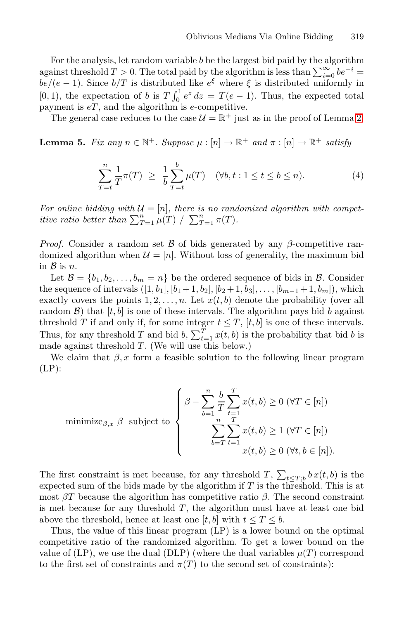<span id="page-8-1"></span>For the analysis, let random variable  $b$  be the largest bid paid by the algorithm against threshold  $T > 0$ . The total paid by the algorithm is less than  $\sum_{i=0}^{\infty} be^{-i} =$  $be/(e-1)$ . Since  $b/T$  is distributed like  $e^{\xi}$  where  $\xi$  is distributed uniformly in [0, 1), the expectation of b is  $T \int_0^1 e^z dz = T(e-1)$ . Thus, the expected total payment is  $eT$ , and the algorithm is  $e$ -competitive.

The general case reduces to the case  $\mathcal{U} = \mathbb{R}^+$  just as in the proof of Lemma 2.

**Lemma 5.** Fix any  $n \in \mathbb{N}^+$ . Suppose  $\mu : [n] \to \mathbb{R}^+$  and  $\pi : [n] \to \mathbb{R}^+$  satisfy

<span id="page-8-0"></span>
$$
\sum_{T=t}^{n} \frac{1}{T} \pi(T) \ge \frac{1}{b} \sum_{T=t}^{b} \mu(T) \quad (\forall b, t : 1 \le t \le b \le n). \tag{4}
$$

For online bidding with  $\mathcal{U} = [n]$ , there is no randomized algorithm with competitive ratio better than  $\sum_{T=1}^n \mu(T) / \sum_{T=1}^n \pi(T)$ .

*Proof.* Consider a random set  $\beta$  of bids generated by any  $\beta$ -competitive randomized algorithm when  $\mathcal{U} = [n]$ . Without loss of generality, the maximum bid in  $\mathcal{B}$  is  $n$ .

Let  $\mathcal{B} = \{b_1, b_2, \ldots, b_m = n\}$  be the ordered sequence of bids in  $\mathcal{B}$ . Consider the sequence of intervals  $([1, b_1], [b_1 + 1, b_2], [b_2 + 1, b_3], \ldots, [b_{m-1} + 1, b_m])$ , which exactly covers the points  $1, 2, \ldots, n$ . Let  $x(t, b)$  denote the probability (over all random  $\mathcal{B}$ ) that  $[t, b]$  is one of these intervals. The algorithm pays bid b against threshold T if and only if, for some integer  $t \leq T$ ,  $[t, b]$  is one of these intervals. Thus, for any threshold T and bid b,  $\sum_{t=1}^{T} x(t, b)$  is the probability that bid b is made against threshold  $T$ . (We will use this below.)

We claim that  $\beta$ , x form a feasible solution to the following linear program  $(LP)$ :

$$
\text{minimize}_{\beta,x} \ \beta \quad \text{subject to} \quad \left\{ \begin{aligned} \beta - \sum_{b=1}^{n} \frac{b}{T} \sum_{t=1}^{T} x(t,b) \ge 0 \ (\forall T \in [n]) \\ \sum_{b=T}^{n} \sum_{t=1}^{T} x(t,b) \ge 1 \ (\forall T \in [n]) \\ x(t,b) \ge 0 \ (\forall t,b \in [n]). \end{aligned} \right.
$$

The first constraint is met because, for any threshold  $T$ ,  $\sum_{t \leq T,b} b x(t, b)$  is the expected sum of the bids made by the algorithm if T is the threshold. This is at most  $\beta T$  because the algorithm has competitive ratio  $\beta$ . The second constraint is met because for any threshold  $T$ , the algorithm must have at least one bid above the threshold, hence at least one [t, b] with  $t \leq T \leq b$ .

Thus, the value of this linear program (LP) is a lower bound on the optimal competitive ratio of the randomized algorithm. To get a lower bound on the value of (LP), we use the dual (DLP) (where the dual variables  $\mu(T)$  correspond to the first set of constraints and  $\pi(T)$  to the second set of constraints):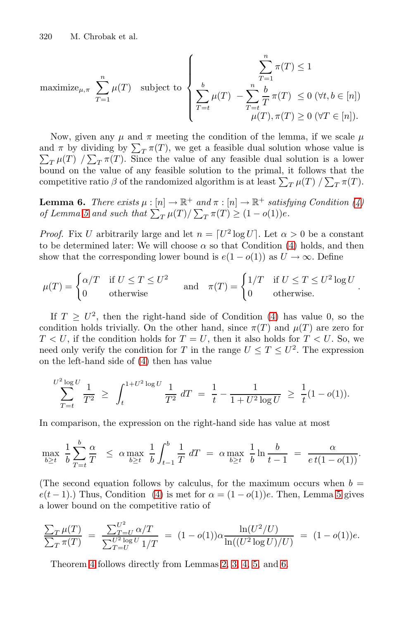$$
\text{maximize}_{\mu,\pi} \sum_{T=1}^{n} \mu(T) \quad \text{subject to} \quad \left\{ \begin{aligned} \sum_{T=1}^{n} \pi(T) &\leq 1 \\ \sum_{T=t}^{b} \mu(T) & - \sum_{T=t}^{n} \frac{b}{T} \pi(T) &\leq 0 \ (\forall t, b \in [n]) \\ \mu(T), \pi(T) &\geq 0 \ (\forall T \in [n]). \end{aligned} \right.
$$

<span id="page-9-0"></span>Now, given any  $\mu$  and  $\pi$  meeting the condition of the lemma, if we scale  $\mu$ and  $\pi$  by dividing by  $\sum_{T}$ and  $\pi$  by dividing by  $\sum_T \pi(T)$ , we get a feasible dual solution whose value is  $\sum_T \mu(T) / \sum_T \pi(T)$ . Since the value of any feasible dual solution is a lower bound on the value of any feasible solut[ion](#page-8-0) to the primal, it follows that the competitive ratio  $\beta$  of the randomized algorithm is at least  $\sum_T \mu(T) / \sum_T \pi(T)$ .

**Lemma 6.** There exists  $\mu : [n] \to \mathbb{R}^+$  and  $\pi : [n] \to \mathbb{R}^+$  satisfying Condition (4) of Lemma 5 and such that  $\sum_{T} \mu(T) / \sum_{T} \pi(T) \geq (1 - o(1))e$ .

*Proof.* Fix U arbitrarily large a[n](#page-8-0)d let  $n = [U^2 \log U]$ . Let  $\alpha > 0$  be a constant to be determined later: We will choose  $\alpha$  so that Condition (4) holds, and then show that the corresponding lower bound is  $e(1-o(1))$  as  $U \to \infty$ . Define

$$
\mu(T) = \begin{cases} \alpha/T & \text{if } U \leq T \leq U^2 \\ 0 & \text{otherwise} \end{cases} \quad \text{and} \quad \pi(T) = \begin{cases} 1/T & \text{if } U \leq T \leq U^2 \log U \\ 0 & \text{otherwise}. \end{cases}.
$$

If  $T \geq U^2$ , then the right-hand side of Condition (4) has value 0, so the condition holds trivially. On the other hand, since  $\pi(T)$  and  $\mu(T)$  are zero for  $T < U$ , if the condition holds for  $T = U$ , then it also holds for  $T < U$ . So, we need only verify the condition for T in the range  $U \leq T \leq U^2$ . The expression on the left-hand side of (4) then has value

$$
\sum_{T=t}^{U^2 \log U} \frac{1}{T^2} \ge \int_t^{1+U^2 \log U} \frac{1}{T^2} \, dT = \frac{1}{t} - \frac{1}{1+U^2 \log U} \ge \frac{1}{t} (1 - o(1)).
$$

In comparison, the expression on the right-hand side has value at most

$$
\max_{b \ge t} \frac{1}{b} \sum_{T=t}^{b} \frac{\alpha}{T} \le \alpha \max_{b \ge t} \frac{1}{b} \int_{t-1}^{b} \frac{1}{T} dT = \alpha \max_{b \ge t} \frac{1}{b} \ln \frac{b}{t-1} = \frac{\alpha}{e t (1 - o(1))}.
$$

(The second equation fo[llo](#page-7-0)[ws](#page-7-1) [by](#page-7-2) [c](#page-8-1)alcul[us](#page-9-0), for the maximum occurs when  $b =$  $e(t-1)$ .) Thus, Condition (4) is met for  $\alpha = (1 - o(1))e$ . Then, Lemma 5 gives a lower bound on the competitive ratio of

$$
\frac{\sum_{T} \mu(T)}{\sum_{T} \pi(T)} = \frac{\sum_{T=U}^{U^2} \alpha/T}{\sum_{T=U}^{U^2} \log U} = (1 - o(1)) \alpha \frac{\ln(U^2/U)}{\ln((U^2 \log U)/U)} = (1 - o(1))e.
$$

Theorem 4 follows directly from Lemmas 2, 3, 4, 5, and 6.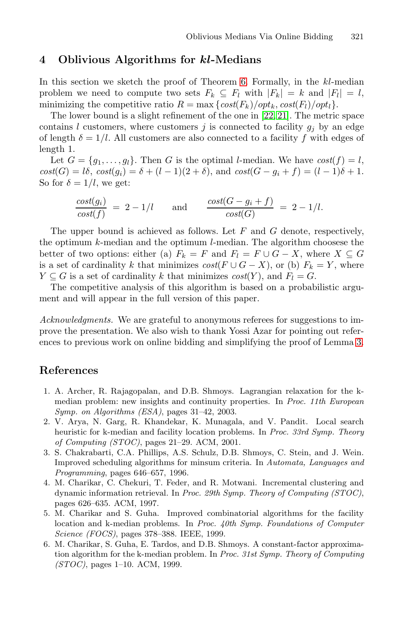### <span id="page-10-5"></span>**4 Oblivious Algorithms for** *kl***-Medians**

In this section we sketch the proof of Theorem 6. Formally, in the  $kl$ -median problem we need to compute two sets  $F_k \subseteq F_l$  with  $|F_k| = k$  and  $|F_l| = l$ , minimizing the competitive ratio  $R = \max \{ cost(F_k) / opt_k, cost(F_l) / opt_l \}.$ 

The lower bound is a slight refinement of the one in [22, 21]. The metric space contains l customers, where customers j is connected to facility  $g_i$  by an edge of length  $\delta = 1/l$ . All customers are also connected to a facility f with edges of length 1.

Let  $G = \{g_1, \ldots, g_l\}$ . Then G is the optimal *l*-median. We have  $cost(f) = l$ ,  $cost(G) = l\delta, cost(g_i) = \delta + (l - 1)(2 + \delta),$  and  $cost(G - g_i + f) = (l - 1)\delta + 1.$ So for  $\delta = 1/l$ , we get:

$$
\frac{\text{cost}(g_i)}{\text{cost}(f)} = 2 - 1/l \quad \text{and} \quad \frac{\text{cost}(G - g_i + f)}{\text{cost}(G)} = 2 - 1/l.
$$

The upper bound is achieved as follows. Let  $F$  and  $G$  denote, respectively, the optimum k-median and the optimum l-median. The algorithm choosese the better of two options: either (a)  $F_k = F$  and  $F_l = F \cup G - X$ , where  $X \subseteq G$ is a set of cardinality k that minimizes  $cost(F \cup G - X)$ , [or](#page-7-1) (b)  $F_k = Y$ , where  $Y \subseteq G$  is a set of cardinality k that minimizes  $cost(Y)$ , and  $F<sub>l</sub> = G$ .

<span id="page-10-4"></span><span id="page-10-1"></span>The competitive analysis of this algorithm is based on a probabilistic argument and will appear in the full version of this paper.

<span id="page-10-0"></span>Acknowledgments. We are grateful to anonymous referees for suggestions to improve the presentation. We also wish to thank Yossi Azar for pointing out references to previous work on online bidding and simplifying the proof of Lemma 3.

### <span id="page-10-7"></span><span id="page-10-6"></span>**References**

- 1. A. Archer, R. Rajagopalan, and D.B. Shmoys. Lagrangian relaxation for the kmedian problem: new insights and continuity properties. In Proc. 11th European Symp. on Algorithms (ESA), pages 31–42, 2003.
- <span id="page-10-3"></span>2. V. Arya, N. Garg, R. Khandekar, K. Munagala, and V. Pandit. Local search heuristic for k-median and facility location problems. In Proc. 33rd Symp. Theory of Computing (STOC), pages 21–29. ACM, 2001.
- <span id="page-10-2"></span>3. S. Chakrabarti, C.A. Phillips, A.S. Schulz, D.B. Shmoys, C. Stein, and J. Wein. Improved scheduling algorithms for minsum criteria. In Automata, Languages and Programming, pages 646–657, 1996.
- 4. M. Charikar, C. Chekuri, T. Feder, and R. Motwani. Incremental clustering and dynamic information retrieval. In Proc. 29th Symp. Theory of Computing (STOC), pages 626–635. ACM, 1997.
- 5. M. Charikar and S. Guha. Improved combinatorial algorithms for the facility location and k-median problems. In Proc. 40th Symp. Foundations of Computer Science (FOCS), pages 378–388. IEEE, 1999.
- 6. M. Charikar, S. Guha, E. Tardos, and D.B. Shmoys. A constant-factor approximation algorithm for the k-median problem. In Proc. 31st Symp. Theory of Computing (STOC), pages 1–10. ACM, 1999.